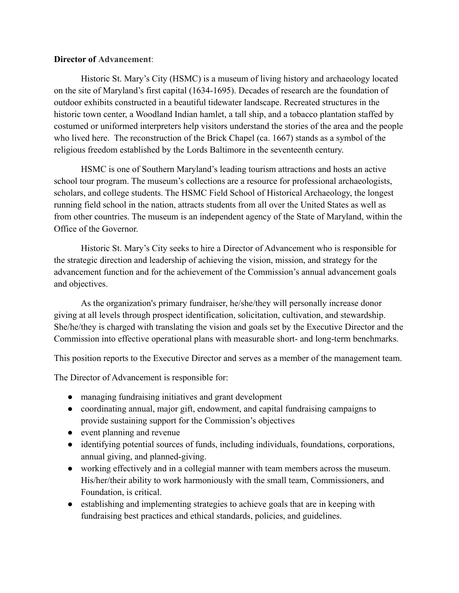## **Director of Advancement**:

Historic St. Mary's City (HSMC) is a museum of living history and archaeology located on the site of Maryland's first capital (1634-1695). Decades of research are the foundation of outdoor exhibits constructed in a beautiful tidewater landscape. Recreated structures in the historic town center, a Woodland Indian hamlet, a tall ship, and a tobacco plantation staffed by costumed or uniformed interpreters help visitors understand the stories of the area and the people who lived here. The reconstruction of the Brick Chapel (ca. 1667) stands as a symbol of the religious freedom established by the Lords Baltimore in the seventeenth century.

HSMC is one of Southern Maryland's leading tourism attractions and hosts an active school tour program. The museum's collections are a resource for professional archaeologists, scholars, and college students. The HSMC Field School of Historical Archaeology, the longest running field school in the nation, attracts students from all over the United States as well as from other countries. The museum is an independent agency of the State of Maryland, within the Office of the Governor.

Historic St. Mary's City seeks to hire a Director of Advancement who is responsible for the strategic direction and leadership of achieving the vision, mission, and strategy for the advancement function and for the achievement of the Commission's annual advancement goals and objectives.

As the organization's primary fundraiser, he/she/they will personally increase donor giving at all levels through prospect identification, solicitation, cultivation, and stewardship. She/he/they is charged with translating the vision and goals set by the Executive Director and the Commission into effective operational plans with measurable short- and long-term benchmarks.

This position reports to the Executive Director and serves as a member of the management team.

The Director of Advancement is responsible for:

- managing fundraising initiatives and grant development
- coordinating annual, major gift, endowment, and capital fundraising campaigns to provide sustaining support for the Commission's objectives
- event planning and revenue
- identifying potential sources of funds, including individuals, foundations, corporations, annual giving, and planned-giving.
- working effectively and in a collegial manner with team members across the museum. His/her/their ability to work harmoniously with the small team, Commissioners, and Foundation, is critical.
- establishing and implementing strategies to achieve goals that are in keeping with fundraising best practices and ethical standards, policies, and guidelines.